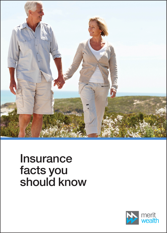

# **Insurance** facts you should know

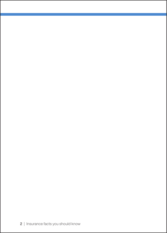2 | Insurance facts you should know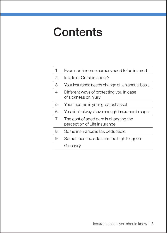# **Contents**

|   | Even non-income earners need to be insured                            |
|---|-----------------------------------------------------------------------|
| 2 | Inside or Outside super?                                              |
| 3 | Your insurance needs change on an annual basis                        |
| 4 | Different ways of protecting you in case<br>of sickness or injury     |
| 5 | Your income is your greatest asset                                    |
| 6 | You don't always have enough insurance in super                       |
| 7 | The cost of aged care is changing the<br>perception of Life Insurance |
| 8 | Some insurance is tax deductible                                      |
| 9 | Sometimes the odds are too high to ignore                             |
|   | Glossary                                                              |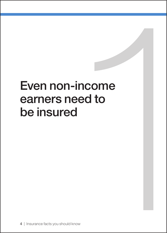# n-income<br>need to<br>ed<br>www.cometers.com Even non-income earners need to be insured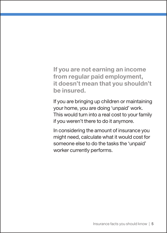**If you are not earning an income from regular paid employment, it doesn't mean that you shouldn't be insured.** 

If you are bringing up children or maintaining your home, you are doing 'unpaid' work. This would turn into a real cost to your family if you weren't there to do it anymore.

In considering the amount of insurance you might need, calculate what it would cost for someone else to do the tasks the 'unpaid' worker currently performs.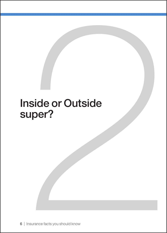# nside or Outside<br>super?<br>Preurance facts you should know Inside or Outside super?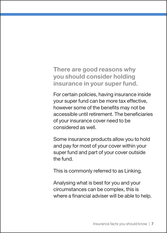**There are good reasons why you should consider holding insurance in your super fund.** 

For certain policies, having insurance inside your super fund can be more tax effective, however some of the benefits may not be accessible until retirement. The beneficiaries of your insurance cover need to be considered as well.

Some insurance products allow you to hold and pay for most of your cover within your super fund and part of your cover outside the fund.

This is commonly referred to as Linking.

Analysing what is best for you and your circumstances can be complex, this is where a financial adviser will be able to help.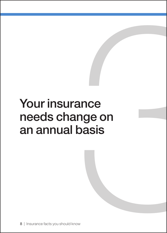# Your insurance needs change on Your insurance<br>needs change on<br>an annual basis<br>31 Insurance lack you should know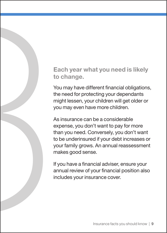# **Each year what you need is likely to change.**

You may have different financial obligations, the need for protecting your dependants might lessen, your children will get older or you may even have more children.

As insurance can be a considerable expense, you don't want to pay for more than you need. Conversely, you don't want to be underinsured if your debt increases or your family grows. An annual reassessment makes good sense. Each year what you need is likely<br>to change.<br>You may have different financial obligations,<br>the need for protecting your dependants<br>might lessen, your children.<br>We of the system will get older or<br>As insurance can be a consi

If you have a financial adviser, ensure your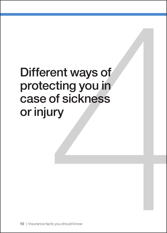# rent ways of<br>ecting you in<br>of sickness<br>ury<br>ectsycrational know Different ways of protecting you in case of sickness or injury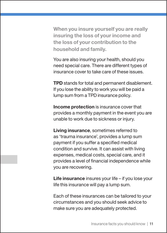**When you insure yourself you are really insuring the loss of your income and the loss of your contribution to the household and family.** 

You are also insuring your health, should you need special care. There are different types of insurance cover to take care of these issues.

**TPD** stands for total and permanent disablement. If you lose the ability to work you will be paid a lump sum from a TPD insurance policy.

**Income protection** is insurance cover that provides a monthly payment in the event you are unable to work due to sickness or injury.

**Living insurance**, sometimes referred to as 'trauma insurance', provides a lump sum payment if you suffer a specified medical condition and survive. It can assist with living expenses, medical costs, special care, and it provides a level of financial independence while you are recovering. When you insure yourself you are relations the loss of your contribution to the household and family, You are also insuring your health, should need special care. There are different typ insurance cover to take care of the

**Life insurance** insures your life – if you lose your life this insurance will pay a lump sum.

Each of these insurances can be tailored to your circumstances and you should seek advice to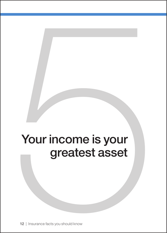# Your income is your<br>greatest asset<br>22 | Insurance facts you should know Your income is your greatest asset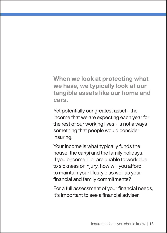**When we look at protecting what we have, we typically look at our tangible assets like our home and cars.** 

Yet potentially our greatest asset - the income that we are expecting each year for the rest of our working lives - is not always something that people would consider insuring.

Your income is what typically funds the house, the car(s) and the family holidays. If you become ill or are unable to work due to sickness or injury, how will you afford to maintain your lifestyle as well as your financial and family commitments?

For a full assessment of your financial needs, it's important to see a financial adviser.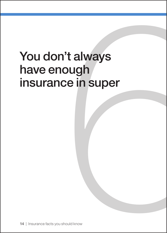# The Contract of Superiors (The Contract of Superiors)<br>The Law Superiors (The Contract of Superiors)<br>Noted Rhow You don't always have enough insurance in super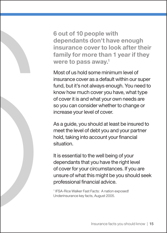**6 out of 10 people with dependants don't have enough insurance cover to look after their family for more than 1 year if they were to pass away.1**

Most of us hold some minimum level of insurance cover as a default within our super fund, but it's not always enough. You need to know how much cover you have, what type of cover it is and what your own needs are so you can consider whether to change or increase your level of cover. 6 out of 10 people with<br>dependants don't have ene<br>insurance cover to look aff<br>family for more than 1 year<br>were to pass away."<br>Most of us hold some minimum lev<br>insurance cover as a default within<br>fund, but it's not always e

As a guide, you should at least be insured to meet the level of debt you and your partner hold, taking into account your financial situation.

It is essential to the well being of your dependants that you have the right level of cover for your circumstances. If you are unsure of what this might be you should seek professional financial advice.

<sup>1</sup> IFSA-Rice Walker Fast Facts: A nation exposed!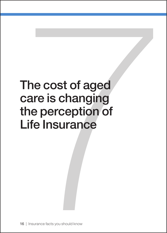# The cost of aged<br>care is changing<br>the perception of<br>Life Insurance<br>stats you should know The cost of aged care is changing the perception of Life Insurance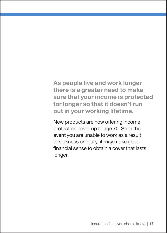**As people live and work longer there is a greater need to make sure that your income is protected for longer so that it doesn't run out in your working lifetime.** 

New products are now offering income protection cover up to age 70. So in the event you are unable to work as a result of sickness or injury, it may make good financial sense to obtain a cover that lasts longer.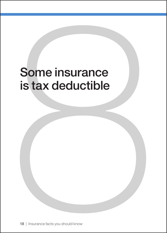# Some insurance<br>is tax deductible<br>the contact system of the contact system of the contact system of the contact system of the contact of the contact of the contact of the contact of the contact of the contact of the contact Some insurance is tax deductible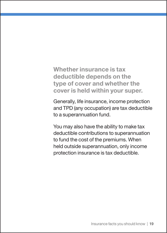**Whether insurance is tax deductible depends on the type of cover and whether the cover is held within your super.** 

Generally, life insurance, income protection and TPD (any occupation) are tax deductible to a superannuation fund.

You may also have the ability to make tax deductible contributions to superannuation to fund the cost of the premiums. When held outside superannuation, only income protection insurance is tax deductible.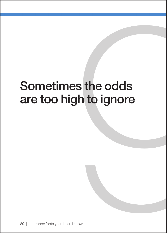# es the odds<br>gh to ignore<br>and the state of the state of the state of the state of the state of the state of the state of the state of the state of the state of the state of the state of the state of the state of the state o Sometimes the odds are too high to ignore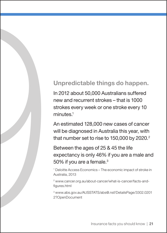# **Unpredictable things do happen.**

In 2012 about 50,000 Australians suffered new and recurrent strokes – that is 1000 strokes every week or one stroke every 10 minutes $<sup>1</sup>$ </sup> Unpredictable things do happen.<br>
In 2012 about 50,000 Australians suffred<br>
new and recurrent strokes – that is 1000<br>
strokes every week or one stroke every 10<br>
minutes.<br>
An estimated 128,000 new cases of cancer<br>
will be di

An estimated 128,000 new cases of cancer will be diagnosed in Australia this year, with that number set to rise to 150,000 by 2020.<sup>2</sup>

Between the ages of 25 & 45 the life expectancy is only 46% if you are a male and 50% if you are a female.<sup>3</sup>

1 Deloitte Access Economics – The economic impact of stroke in Australia, 2013

2 www.cancer.org.au/about-cancer/what-is-cancer/facts-andfigures.html

<sup>3</sup> www.abs.gov.au/AUSSTATS/abs@.nsf/DetailsPage/3302.0201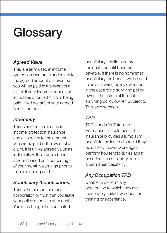# **Glossary**

## *Agreed Value*

This is a term used in income protection insurance and refers to the agreed amount of cover that you will be paid in the event of a claim. If your income reduces or increases prior to the claim being paid, it will not affect your agreed benefit amount.

## *Indemnity*

This is another term used in income protection insurance and also refers to the amount you will be paid in the event of a claim. It is unlike agreed value as indemnity will pay you a benefit amount based on a percentage of your monthly earnings prior to the claim being paid.

# *Beneficiary (beneficiaries)*

This is the person, persons, corporation or trust that you leave your policy benefit to after death. You can change the nominated

beneficiary any time before the death benefit becomes payable. If there is no nominated beneficiary the benefit will be paid to any surviving policy owner or in the case of no surviving policy owner, the estate of the last surviving policy owner. Subject to Trustee discretion.

# *TPD*

TPD stands for Total and Permanent Disablement. This insurance provides a lump sum benefit to the insured should they be unlikely to ever work again, perform household duties again, or suffer a loss of ability due to a permanent disability.

# *Any Occupation TPD*

Unable to perform any occupation to which they are reasonably suited by education, training or experience.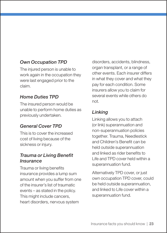## *Own Occupation TPD*

The injured person is unable to work again in the occupation they were last engaged prior to the claim.

## *Home Duties TPD*

The insured person would be unable to perform home duties as previously undertaken.

## *General Cover TPD*

This is to cover the increased cost of living because of the sickness or injury.

### *Trauma or Living Benefit Insurance*

Trauma or living benefits insurance provides a lump sum amount when you suffer from one of the insurer's list of traumatic events – as stated in the policy. This might include cancers, heart disorders, nervous system

disorders, accidents, blindness, organ transplant, or a range of other events. Each insurer differs in what they cover and what they pay for each condition. Some insurers allow you to claim for several events while others do not.

# *Linking*

Linking allows you to attach (or link) superannuation and non-superannuation policies together. Trauma, Needlestick and Children's Benefit can be held outside superannuation and linked as rider benefits to Life and TPD cover held within a superannuation fund.

Alternatively TPD cover, or just own occupation TPD cover, could be held outside superannuation, and linked to Life cover within a superannuation fund.